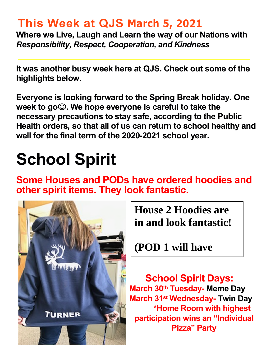## **This Week at QJS March 5, 2021**

**Where we Live, Laugh and Learn the way of our Nations with**  *Responsibility, Respect, Cooperation, and Kindness* 

**It was another busy week here at QJS. Check out some of the highlights below.** 

**Everyone is looking forward to the Spring Break holiday. One week to go. We hope everyone is careful to take the necessary precautions to stay safe, according to the Public Health orders, so that all of us can return to school healthy and well for the final term of the 2020-2021 school year.** 

# **School Spirit**

**Some Houses and PODs have ordered hoodies and other spirit items. They look fantastic.** 



**House 2 Hoodies are in and look fantastic!** 

**(POD 1 will have** 

**theirs in soon)**

 **School Spirit Days: March 30th Tuesday- Meme Day March 31st Wednesday- Twin Day \*Home Room with highest participation wins an "Individual Pizza" Party**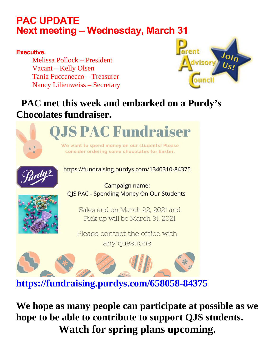### **PAC UPDATE Next meeting – Wednesday, March 31**

#### **Executive.**

Melissa Pollock – President Vacant – Kelly Olsen Tania Fuccenecco – Treasurer Nancy Lilienweiss – Secretary



### **PAC met this week and embarked on a Purdy's Chocolates fundraiser.**





https://fundraising.purdys.com/1340310-84375

Campaign name: **QIS PAC - Spending Money On Our Students** 

Sales end on March 22, 2021 and Pick up will be March 31, 2021

Please contact the office with any questions



**We hope as many people can participate at possible as we hope to be able to contribute to support QJS students. Watch for spring plans upcoming.**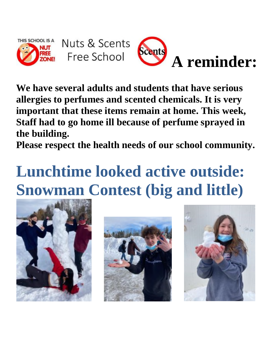



**We have several adults and students that have serious allergies to perfumes and scented chemicals. It is very important that these items remain at home. This week, Staff had to go home ill because of perfume sprayed in the building.** 

**Please respect the health needs of our school community.** 

# **Lunchtime looked active outside: Snowman Contest (big and little)**





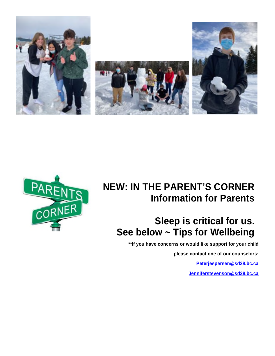



### **NEW: IN THE PARENT'S CORNER Information for Parents**

### **Sleep is critical for us. See below ~ Tips for Wellbeing**

**\*\*If you have concerns or would like support for your child** 

**please contact one of our counselors:** 

**[Peterjespersen@sd28.bc.ca](mailto:Peterjespersen@sd28.bc.ca)**

**[Jenniferstevenson@sd28.bc.ca](mailto:Jenniferstevenson@sd28.bc.ca)**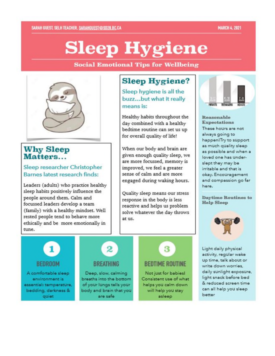#### **MARCH 4, 2021**

# **Sleep Hygiene**

#### **Social Emotional Tips for Wellbeing**



#### **Why Sleep** Matters...

#### Sleep researcher Christopher Barnes latest research finds:

Leaders (adults) who practice healthy sleep habits positively influence the people around them. Calm and focussed leaders develop a team (family) with a healthy mindset. Well rested people tend to behave more ethically and be more emotionally in tune.

### **Sleep Hygiene?**

Sleep hygiene is all the buzz...but what it really means is:

Healthy habits throughout the day combined with a healthy bedtime routine can set us up for overall quality of life!

When our body and brain are given enough quality sleep, we are more focussed, memory is improved, we feel a greater sense of calm and are more engaged during waking hours.

Quality sleep means our stress response in the body is less reactive and helps us problem solve whatever the day throws at us.



#### Reasonable **Expectations** These hours are not always going to happen! Try to support as much quality sleep as possible and when a loved one has underslept they may be irritable and that is okay. Encouragement and compassion go far here.

**Daytime Routines to Help Sleep** 



1 **BEDROOM** 

A comfortable sleep environment is essential: temperature. bedding, darkness & quiet



Deep, slow, calming breaths into the bottom of your lungs tells your body and brain that you are safe

# **BEDTIME ROUTINE**

3

Not just for babies! Consistent use of what helps you calm down will help you stay asleep

Light daily physical activity, regular wake up time, talk about or write down worries. daily sunlight exposure, light snack before bed & reduced screen time can all help you sleep better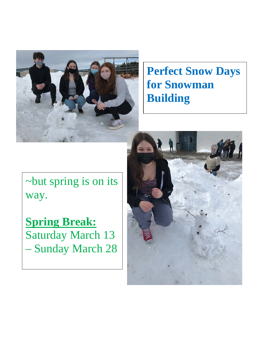

## **Perfect Snow Days for Snowman Building**

~but spring is on its way.

**Spring Break:** Saturday March 13 – Sunday March 28

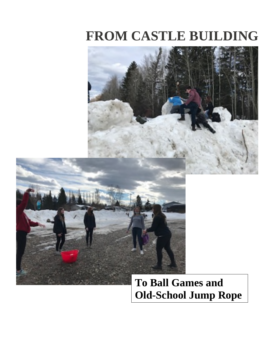# **FROM CASTLE BUILDING**



## **To Ball Games and Old-School Jump Rope**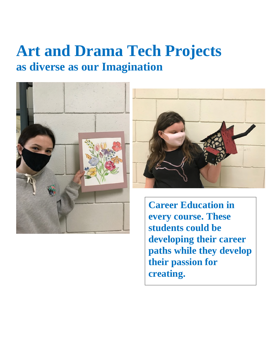# **Art and Drama Tech Projects as diverse as our Imagination**





**Career Education in every course. These students could be developing their career paths while they develop their passion for creating.**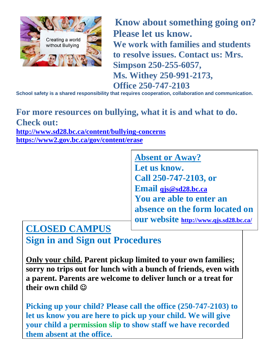

 **Know about something going on? Please let us know. We work with families and students to resolve issues. Contact us: Mrs. Simpson 250-255-6057, Ms. Withey 250-991-2173, Office 250-747-2103** 

**School safety is a shared responsibility that requires cooperation, collaboration and communication.** 

### **For more resources on bullying, what it is and what to do. Check out: <http://www.sd28.bc.ca/content/bullying-concerns>**

**<https://www2.gov.bc.ca/gov/content/erase>**

**Absent or Away? Let us know. Call 250-747-2103, or Email [qjs@sd28.bc.ca](mailto:qjs@sd28.bc.ca) You are able to enter an absence on the form located on our website <http://www.qjs.sd28.bc.ca/>**

### **CLOSED CAMPUS**

**Sign in and Sign out Procedures**

**Only your child. Parent pickup limited to your own families; sorry no trips out for lunch with a bunch of friends, even with a parent. Parents are welcome to deliver lunch or a treat for their own child** 

**Picking up your child? Please call the office (250-747-2103) to let us know you are here to pick up your child. We will give your child a permission slip to show staff we have recorded them absent at the office.**